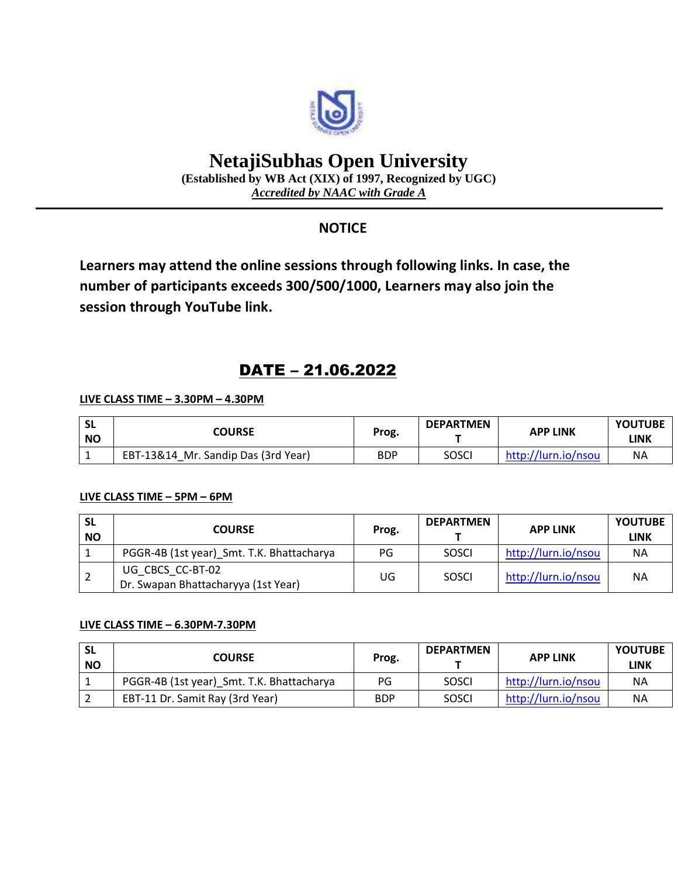

# **NetajiSubhas Open University**

**(Established by WB Act (XIX) of 1997, Recognized by UGC)** *Accredited by NAAC with Grade A*

### **NOTICE**

**Learners may attend the online sessions through following links. In case, the number of participants exceeds 300/500/1000, Learners may also join the session through YouTube link.**

## DATE – 21.06.2022

#### **LIVE CLASS TIME – 3.30PM – 4.30PM**

| <b>SL</b><br><b>NO</b> | <b>COURSE</b>                       | Prog. | <b>DEPARTMEN</b> | <b>APP LINK</b>     | <b>YOUTUBE</b><br>LINK |
|------------------------|-------------------------------------|-------|------------------|---------------------|------------------------|
|                        | EBT-13&14 Mr. Sandip Das (3rd Year) | BDP   | <b>SOSCI</b>     | http://lurn.io/nsou | <b>NA</b>              |

#### **LIVE CLASS TIME – 5PM – 6PM**

| <b>SL</b><br><b>NO</b> | <b>COURSE</b>                                           | Prog. | <b>DEPARTMEN</b> | <b>APP LINK</b>     | <b>YOUTUBE</b><br><b>LINK</b> |
|------------------------|---------------------------------------------------------|-------|------------------|---------------------|-------------------------------|
|                        | PGGR-4B (1st year) Smt. T.K. Bhattacharya               | PG    | SOSCI            | http://lurn.io/nsou | <b>NA</b>                     |
|                        | UG CBCS CC-BT-02<br>Dr. Swapan Bhattacharyya (1st Year) | UG    | SOSCI            | http://lurn.io/nsou | <b>NA</b>                     |

#### **LIVE CLASS TIME – 6.30PM-7.30PM**

| <b>SL</b><br><b>NO</b> | <b>COURSE</b>                             | Prog.      | <b>DEPARTMEN</b> | <b>APP LINK</b>     | <b>YOUTUBE</b><br>LINK |
|------------------------|-------------------------------------------|------------|------------------|---------------------|------------------------|
|                        | PGGR-4B (1st year) Smt. T.K. Bhattacharya | PG         | <b>SOSCI</b>     | http://lurn.io/nsou | NA                     |
|                        | EBT-11 Dr. Samit Ray (3rd Year)           | <b>BDP</b> | <b>SOSCI</b>     | http://lurn.io/nsou | NΑ                     |